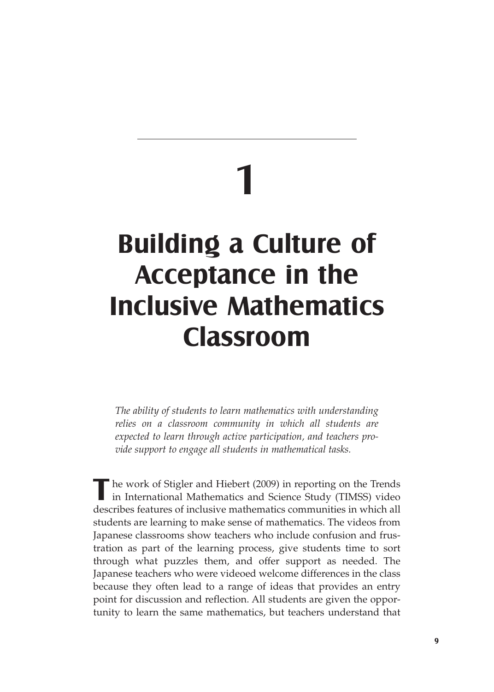# 1

# **Building a Culture of Acceptance in the Inclusive Mathematics Classroom**

*The ability of students to learn mathematics with understanding relies on a classroom community in which all students are expected to learn through active participation, and teachers provide support to engage all students in mathematical tasks.*

**T** he work of Stigler and Hiebert (2009) in reporting on the Trends in International Mathematics and Science Study (TIMSS) video describes features of inclusive mathematics communities in which all students are learning to make sense of mathematics. The videos from Japanese classrooms show teachers who include confusion and frustration as part of the learning process, give students time to sort through what puzzles them, and offer support as needed. The Japanese teachers who were videoed welcome differences in the class because they often lead to a range of ideas that provides an entry point for discussion and reflection. All students are given the opportunity to learn the same mathematics, but teachers understand that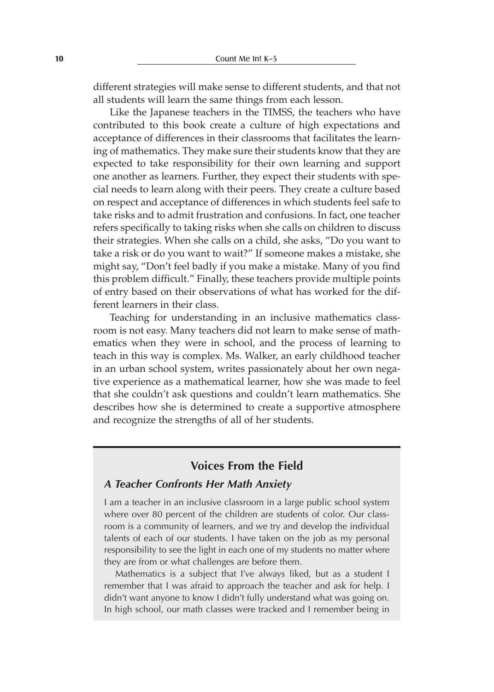different strategies will make sense to different students, and that not all students will learn the same things from each lesson.

Like the Japanese teachers in the TIMSS, the teachers who have contributed to this book create a culture of high expectations and acceptance of differences in their classrooms that facilitates the learning of mathematics. They make sure their students know that they are expected to take responsibility for their own learning and support one another as learners. Further, they expect their students with special needs to learn along with their peers. They create a culture based on respect and acceptance of differences in which students feel safe to take risks and to admit frustration and confusions. In fact, one teacher refers specifically to taking risks when she calls on children to discuss their strategies. When she calls on a child, she asks, "Do you want to take a risk or do you want to wait?" If someone makes a mistake, she might say, "Don't feel badly if you make a mistake. Many of you find this problem difficult." Finally, these teachers provide multiple points of entry based on their observations of what has worked for the different learners in their class.

Teaching for understanding in an inclusive mathematics classroom is not easy. Many teachers did not learn to make sense of mathematics when they were in school, and the process of learning to teach in this way is complex. Ms. Walker, an early childhood teacher in an urban school system, writes passionately about her own negative experience as a mathematical learner, how she was made to feel that she couldn't ask questions and couldn't learn mathematics. She describes how she is determined to create a supportive atmosphere and recognize the strengths of all of her students.

## **Voices From the Field**

#### *A Teacher Confronts Her Math Anxiety*

I am a teacher in an inclusive classroom in a large public school system where over 80 percent of the children are students of color. Our classroom is a community of learners, and we try and develop the individual talents of each of our students. I have taken on the job as my personal responsibility to see the light in each one of my students no matter where they are from or what challenges are before them.

Mathematics is a subject that I've always liked, but as a student I remember that I was afraid to approach the teacher and ask for help. I didn't want anyone to know I didn't fully understand what was going on. In high school, our math classes were tracked and I remember being in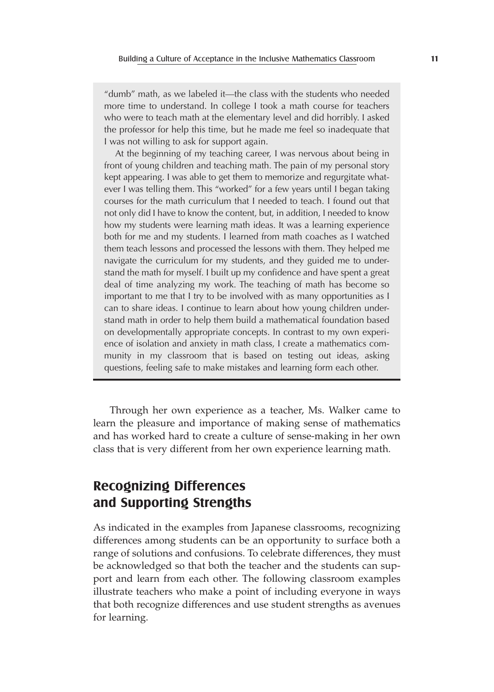"dumb" math, as we labeled it—the class with the students who needed more time to understand. In college I took a math course for teachers who were to teach math at the elementary level and did horribly. I asked the professor for help this time, but he made me feel so inadequate that I was not willing to ask for support again.

At the beginning of my teaching career, I was nervous about being in front of young children and teaching math. The pain of my personal story kept appearing. I was able to get them to memorize and regurgitate whatever I was telling them. This "worked" for a few years until I began taking courses for the math curriculum that I needed to teach. I found out that not only did I have to know the content, but, in addition, I needed to know how my students were learning math ideas. It was a learning experience both for me and my students. I learned from math coaches as I watched them teach lessons and processed the lessons with them. They helped me navigate the curriculum for my students, and they guided me to understand the math for myself. I built up my confidence and have spent a great deal of time analyzing my work. The teaching of math has become so important to me that I try to be involved with as many opportunities as I can to share ideas. I continue to learn about how young children understand math in order to help them build a mathematical foundation based on developmentally appropriate concepts. In contrast to my own experience of isolation and anxiety in math class, I create a mathematics community in my classroom that is based on testing out ideas, asking questions, feeling safe to make mistakes and learning form each other.

Through her own experience as a teacher, Ms. Walker came to learn the pleasure and importance of making sense of mathematics and has worked hard to create a culture of sense-making in her own class that is very different from her own experience learning math.

# **Recognizing Differences and Supporting Strengths**

As indicated in the examples from Japanese classrooms, recognizing differences among students can be an opportunity to surface both a range of solutions and confusions. To celebrate differences, they must be acknowledged so that both the teacher and the students can support and learn from each other. The following classroom examples illustrate teachers who make a point of including everyone in ways that both recognize differences and use student strengths as avenues for learning.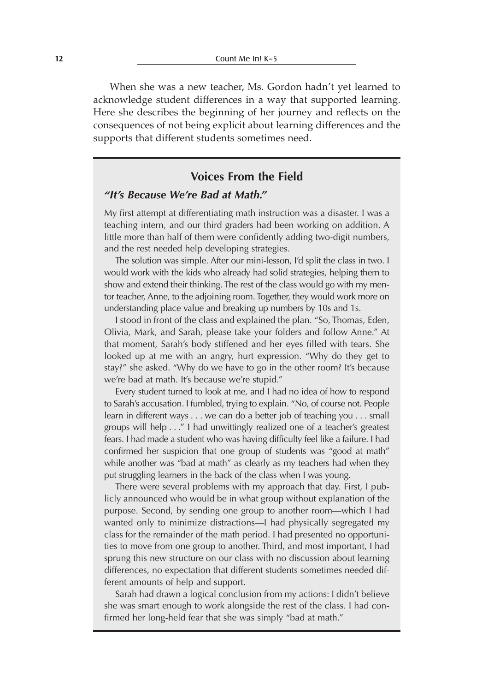When she was a new teacher, Ms. Gordon hadn't yet learned to acknowledge student differences in a way that supported learning. Here she describes the beginning of her journey and reflects on the consequences of not being explicit about learning differences and the supports that different students sometimes need.

# **Voices From the Field**

#### *"It's Because We're Bad at Math."*

My first attempt at differentiating math instruction was a disaster. I was a teaching intern, and our third graders had been working on addition. A little more than half of them were confidently adding two-digit numbers, and the rest needed help developing strategies.

The solution was simple. After our mini-lesson, I'd split the class in two. I would work with the kids who already had solid strategies, helping them to show and extend their thinking. The rest of the class would go with my mentor teacher, Anne, to the adjoining room. Together, they would work more on understanding place value and breaking up numbers by 10s and 1s.

I stood in front of the class and explained the plan. "So, Thomas, Eden, Olivia, Mark, and Sarah, please take your folders and follow Anne." At that moment, Sarah's body stiffened and her eyes filled with tears. She looked up at me with an angry, hurt expression. "Why do they get to stay?" she asked. "Why do we have to go in the other room? It's because we're bad at math. It's because we're stupid."

Every student turned to look at me, and I had no idea of how to respond to Sarah's accusation. I fumbled, trying to explain. "No, of course not. People learn in different ways . . . we can do a better job of teaching you . . . small groups will help . . ." I had unwittingly realized one of a teacher's greatest fears. I had made a student who was having difficulty feel like a failure. I had confirmed her suspicion that one group of students was "good at math" while another was "bad at math" as clearly as my teachers had when they put struggling learners in the back of the class when I was young.

There were several problems with my approach that day. First, I publicly announced who would be in what group without explanation of the purpose. Second, by sending one group to another room—which I had wanted only to minimize distractions—I had physically segregated my class for the remainder of the math period. I had presented no opportunities to move from one group to another. Third, and most important, I had sprung this new structure on our class with no discussion about learning differences, no expectation that different students sometimes needed different amounts of help and support.

Sarah had drawn a logical conclusion from my actions: I didn't believe she was smart enough to work alongside the rest of the class. I had confirmed her long-held fear that she was simply "bad at math."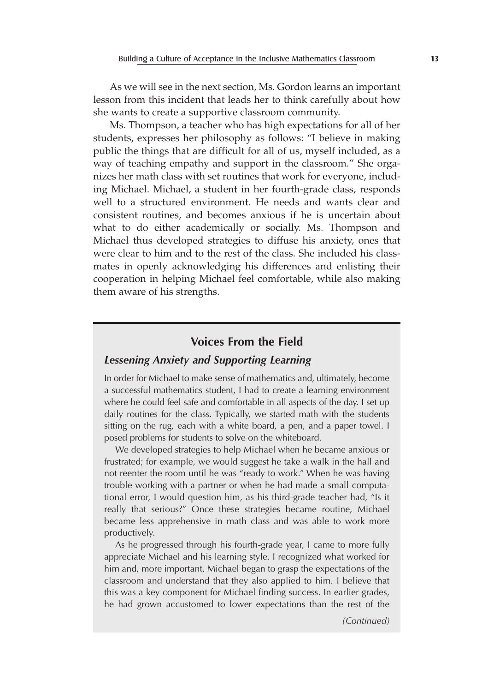As we will see in the next section, Ms. Gordon learns an important lesson from this incident that leads her to think carefully about how she wants to create a supportive classroom community.

Ms. Thompson, a teacher who has high expectations for all of her students, expresses her philosophy as follows: "I believe in making public the things that are difficult for all of us, myself included, as a way of teaching empathy and support in the classroom." She organizes her math class with set routines that work for everyone, including Michael. Michael, a student in her fourth-grade class, responds well to a structured environment. He needs and wants clear and consistent routines, and becomes anxious if he is uncertain about what to do either academically or socially. Ms. Thompson and Michael thus developed strategies to diffuse his anxiety, ones that were clear to him and to the rest of the class. She included his classmates in openly acknowledging his differences and enlisting their cooperation in helping Michael feel comfortable, while also making them aware of his strengths.

### **Voices From the Field**

#### *Lessening Anxiety and Supporting Learning*

In order for Michael to make sense of mathematics and, ultimately, become a successful mathematics student, I had to create a learning environment where he could feel safe and comfortable in all aspects of the day. I set up daily routines for the class. Typically, we started math with the students sitting on the rug, each with a white board, a pen, and a paper towel. I posed problems for students to solve on the whiteboard.

We developed strategies to help Michael when he became anxious or frustrated; for example, we would suggest he take a walk in the hall and not reenter the room until he was "ready to work." When he was having trouble working with a partner or when he had made a small computational error, I would question him, as his third-grade teacher had, "Is it really that serious?" Once these strategies became routine, Michael became less apprehensive in math class and was able to work more productively.

As he progressed through his fourth-grade year, I came to more fully appreciate Michael and his learning style. I recognized what worked for him and, more important, Michael began to grasp the expectations of the classroom and understand that they also applied to him. I believe that this was a key component for Michael finding success. In earlier grades, he had grown accustomed to lower expectations than the rest of the

*(Continued)*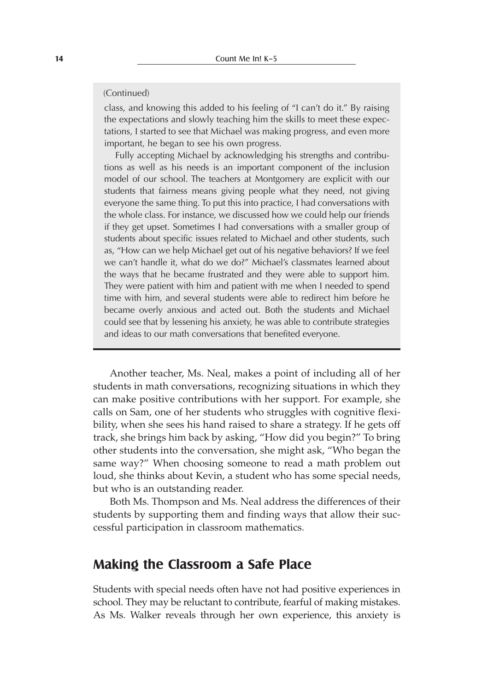#### (Continued)

class, and knowing this added to his feeling of "I can't do it." By raising the expectations and slowly teaching him the skills to meet these expectations, I started to see that Michael was making progress, and even more important, he began to see his own progress.

Fully accepting Michael by acknowledging his strengths and contributions as well as his needs is an important component of the inclusion model of our school. The teachers at Montgomery are explicit with our students that fairness means giving people what they need, not giving everyone the same thing. To put this into practice, I had conversations with the whole class. For instance, we discussed how we could help our friends if they get upset. Sometimes I had conversations with a smaller group of students about specific issues related to Michael and other students, such as, "How can we help Michael get out of his negative behaviors? If we feel we can't handle it, what do we do?" Michael's classmates learned about the ways that he became frustrated and they were able to support him. They were patient with him and patient with me when I needed to spend time with him, and several students were able to redirect him before he became overly anxious and acted out. Both the students and Michael could see that by lessening his anxiety, he was able to contribute strategies and ideas to our math conversations that benefited everyone.

Another teacher, Ms. Neal, makes a point of including all of her students in math conversations, recognizing situations in which they can make positive contributions with her support. For example, she calls on Sam, one of her students who struggles with cognitive flexibility, when she sees his hand raised to share a strategy. If he gets off track, she brings him back by asking, "How did you begin?" To bring other students into the conversation, she might ask, "Who began the same way?" When choosing someone to read a math problem out loud, she thinks about Kevin, a student who has some special needs, but who is an outstanding reader.

Both Ms. Thompson and Ms. Neal address the differences of their students by supporting them and finding ways that allow their successful participation in classroom mathematics.

# **Making the Classroom a Safe Place**

Students with special needs often have not had positive experiences in school. They may be reluctant to contribute, fearful of making mistakes. As Ms. Walker reveals through her own experience, this anxiety is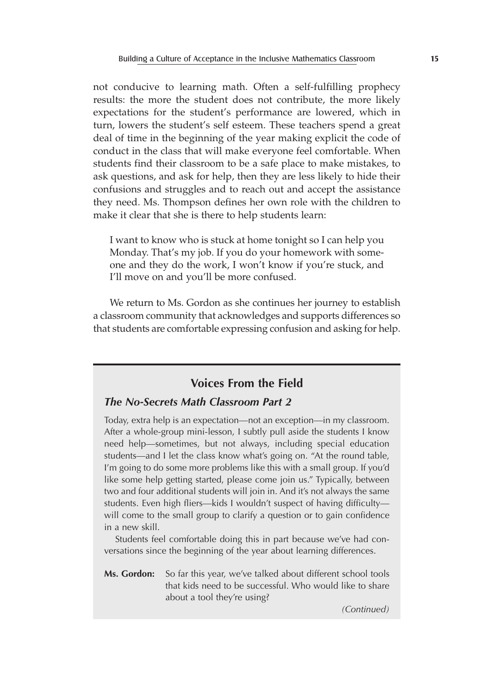not conducive to learning math. Often a self-fulfilling prophecy results: the more the student does not contribute, the more likely expectations for the student's performance are lowered, which in turn, lowers the student's self esteem. These teachers spend a great deal of time in the beginning of the year making explicit the code of conduct in the class that will make everyone feel comfortable. When students find their classroom to be a safe place to make mistakes, to ask questions, and ask for help, then they are less likely to hide their confusions and struggles and to reach out and accept the assistance they need. Ms. Thompson defines her own role with the children to make it clear that she is there to help students learn:

I want to know who is stuck at home tonight so I can help you Monday. That's my job. If you do your homework with someone and they do the work, I won't know if you're stuck, and I'll move on and you'll be more confused.

We return to Ms. Gordon as she continues her journey to establish a classroom community that acknowledges and supports differences so that students are comfortable expressing confusion and asking for help.

# **Voices From the Field**

#### *The No-Secrets Math Classroom Part 2*

Today, extra help is an expectation—not an exception—in my classroom. After a whole-group mini-lesson, I subtly pull aside the students I know need help—sometimes, but not always, including special education students—and I let the class know what's going on. "At the round table, I'm going to do some more problems like this with a small group. If you'd like some help getting started, please come join us." Typically, between two and four additional students will join in. And it's not always the same students. Even high fliers—kids I wouldn't suspect of having difficulty will come to the small group to clarify a question or to gain confidence in a new skill.

Students feel comfortable doing this in part because we've had conversations since the beginning of the year about learning differences.

**Ms. Gordon:** So far this year, we've talked about different school tools that kids need to be successful. Who would like to share about a tool they're using?

*(Continued)*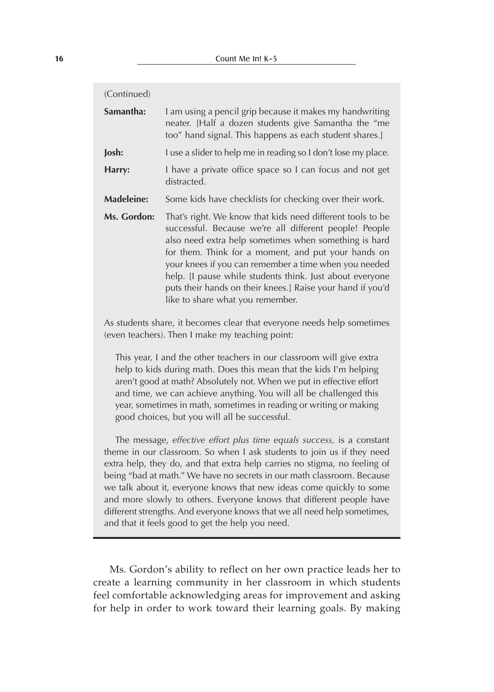| (Continued)       |                                                                                                                                                                                                                                                                                                                                                                                                                                                             |
|-------------------|-------------------------------------------------------------------------------------------------------------------------------------------------------------------------------------------------------------------------------------------------------------------------------------------------------------------------------------------------------------------------------------------------------------------------------------------------------------|
| Samantha:         | I am using a pencil grip because it makes my handwriting<br>neater. [Half a dozen students give Samantha the "me<br>too" hand signal. This happens as each student shares.]                                                                                                                                                                                                                                                                                 |
| Josh:             | I use a slider to help me in reading so I don't lose my place.                                                                                                                                                                                                                                                                                                                                                                                              |
| Harry:            | I have a private office space so I can focus and not get<br>distracted.                                                                                                                                                                                                                                                                                                                                                                                     |
| <b>Madeleine:</b> | Some kids have checklists for checking over their work.                                                                                                                                                                                                                                                                                                                                                                                                     |
| Ms. Gordon:       | That's right. We know that kids need different tools to be<br>successful. Because we're all different people! People<br>also need extra help sometimes when something is hard<br>for them. Think for a moment, and put your hands on<br>your knees if you can remember a time when you needed<br>help. Il pause while students think. Just about everyone<br>puts their hands on their knees.] Raise your hand if you'd<br>like to share what you remember. |

As students share, it becomes clear that everyone needs help sometimes (even teachers). Then I make my teaching point:

This year, I and the other teachers in our classroom will give extra help to kids during math. Does this mean that the kids I'm helping aren't good at math? Absolutely not. When we put in effective effort and time, we can achieve anything. You will all be challenged this year, sometimes in math, sometimes in reading or writing or making good choices, but you will all be successful.

The message, *effective effort plus time equals success,* is a constant theme in our classroom. So when I ask students to join us if they need extra help, they do, and that extra help carries no stigma, no feeling of being "bad at math." We have no secrets in our math classroom. Because we talk about it, everyone knows that new ideas come quickly to some and more slowly to others. Everyone knows that different people have different strengths. And everyone knows that we all need help sometimes, and that it feels good to get the help you need.

Ms. Gordon's ability to reflect on her own practice leads her to create a learning community in her classroom in which students feel comfortable acknowledging areas for improvement and asking for help in order to work toward their learning goals. By making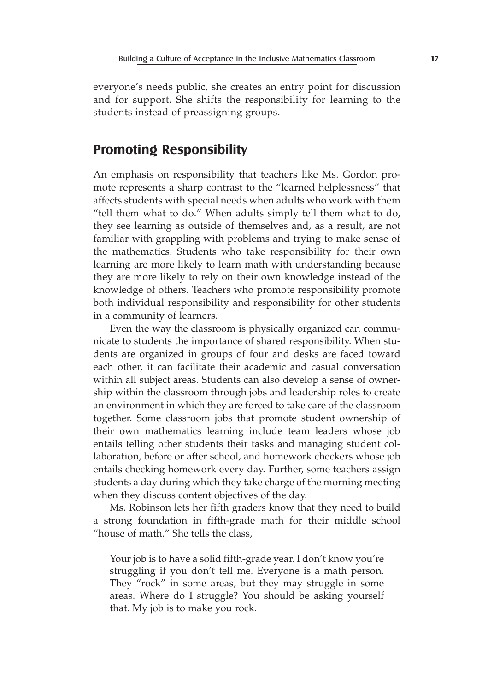everyone's needs public, she creates an entry point for discussion and for support. She shifts the responsibility for learning to the students instead of preassigning groups.

# **Promoting Responsibility**

An emphasis on responsibility that teachers like Ms. Gordon promote represents a sharp contrast to the "learned helplessness" that affects students with special needs when adults who work with them "tell them what to do." When adults simply tell them what to do, they see learning as outside of themselves and, as a result, are not familiar with grappling with problems and trying to make sense of the mathematics. Students who take responsibility for their own learning are more likely to learn math with understanding because they are more likely to rely on their own knowledge instead of the knowledge of others. Teachers who promote responsibility promote both individual responsibility and responsibility for other students in a community of learners.

Even the way the classroom is physically organized can communicate to students the importance of shared responsibility. When students are organized in groups of four and desks are faced toward each other, it can facilitate their academic and casual conversation within all subject areas. Students can also develop a sense of ownership within the classroom through jobs and leadership roles to create an environment in which they are forced to take care of the classroom together. Some classroom jobs that promote student ownership of their own mathematics learning include team leaders whose job entails telling other students their tasks and managing student collaboration, before or after school, and homework checkers whose job entails checking homework every day. Further, some teachers assign students a day during which they take charge of the morning meeting when they discuss content objectives of the day.

Ms. Robinson lets her fifth graders know that they need to build a strong foundation in fifth-grade math for their middle school "house of math." She tells the class,

Your job is to have a solid fifth-grade year. I don't know you're struggling if you don't tell me. Everyone is a math person. They "rock" in some areas, but they may struggle in some areas. Where do I struggle? You should be asking yourself that. My job is to make you rock.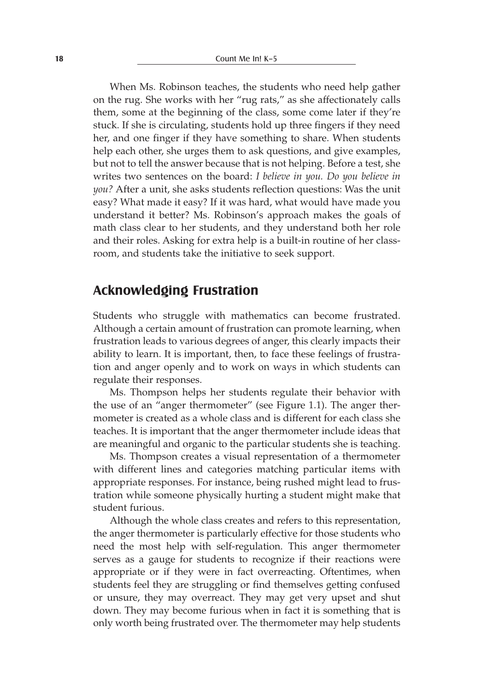When Ms. Robinson teaches, the students who need help gather on the rug. She works with her "rug rats," as she affectionately calls them, some at the beginning of the class, some come later if they're stuck. If she is circulating, students hold up three fingers if they need her, and one finger if they have something to share. When students help each other, she urges them to ask questions, and give examples, but not to tell the answer because that is not helping. Before a test, she writes two sentences on the board: *I believe in you. Do you believe in you?* After a unit, she asks students reflection questions: Was the unit easy? What made it easy? If it was hard, what would have made you understand it better? Ms. Robinson's approach makes the goals of math class clear to her students, and they understand both her role and their roles. Asking for extra help is a built-in routine of her classroom, and students take the initiative to seek support.

# **Acknowledging Frustration**

Students who struggle with mathematics can become frustrated. Although a certain amount of frustration can promote learning, when frustration leads to various degrees of anger, this clearly impacts their ability to learn. It is important, then, to face these feelings of frustration and anger openly and to work on ways in which students can regulate their responses.

Ms. Thompson helps her students regulate their behavior with the use of an "anger thermometer" (see Figure 1.1). The anger thermometer is created as a whole class and is different for each class she teaches. It is important that the anger thermometer include ideas that are meaningful and organic to the particular students she is teaching.

Ms. Thompson creates a visual representation of a thermometer with different lines and categories matching particular items with appropriate responses. For instance, being rushed might lead to frustration while someone physically hurting a student might make that student furious.

Although the whole class creates and refers to this representation, the anger thermometer is particularly effective for those students who need the most help with self-regulation. This anger thermometer serves as a gauge for students to recognize if their reactions were appropriate or if they were in fact overreacting. Oftentimes, when students feel they are struggling or find themselves getting confused or unsure, they may overreact. They may get very upset and shut down. They may become furious when in fact it is something that is only worth being frustrated over. The thermometer may help students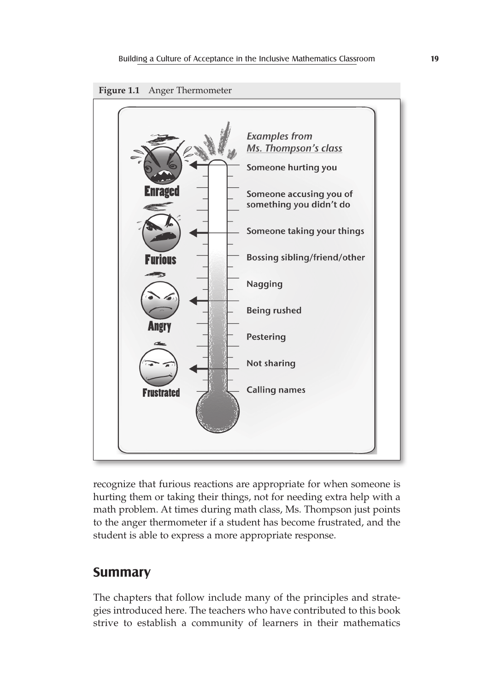



recognize that furious reactions are appropriate for when someone is hurting them or taking their things, not for needing extra help with a math problem. At times during math class, Ms. Thompson just points to the anger thermometer if a student has become frustrated, and the student is able to express a more appropriate response.

# **Summary**

The chapters that follow include many of the principles and strategies introduced here. The teachers who have contributed to this book strive to establish a community of learners in their mathematics